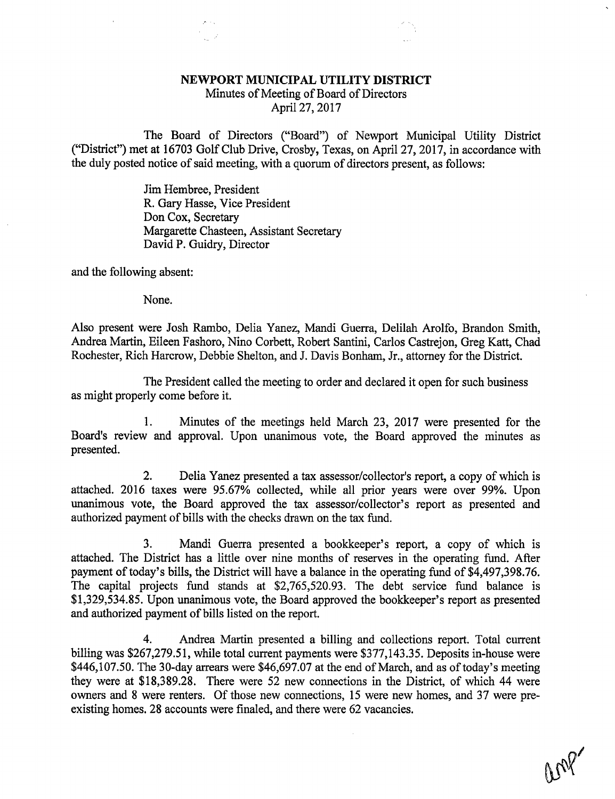## NEWPORT MUNICIPAL UTILITY DISTRICT

Minutes of Meeting of Board of Directors April 27, 2017

The Board of Directors ("Board") of Newport Municipal Utility District ("District") met at 16703 Golf Club Drive, Crosby, Texas, on April 27, 2017, in accordance with the duly posted notice of said meeting, with a quorum of directors present, as follows:

> Jim Hembree, President R. Gary Hasse, Vice President Don Cox, Secretary Margarette Chasteen, Assistant Secretary David P. Guidry, Director

and the following absent:

None.

Also present were Josh Rambo, Delia Yanez, Mandi Guerra, Delilah Arolfo, Brandon Smith, Andrea Martin, Eileen Fashoro, Nino Corbett, Robert Santini, Carlos Castrejon, Greg Katt, Chad Rochester, Rich Harcrow, Debbie Shelton, and J. Davis Bonham, Jr., attorney for the District.

The President called the meeting to order and declared it open for such business as might properly come before it.

1. Minutes of the meetings held March 23, 2017 were presented for the Board's review and approval. Upon unanimous vote, the Board approved the minutes as presented.

2. Delia Yanez presented a tax assessor/collector's report, a copy of which is attached. 2016 taxes were 95.67% collected, while all prior years were over 99%. Upon unanimous vote, the Board approved the tax assessor/collector's report as presented and authorized payment of bills with the checks drawn on the tax fund.

3. Mandi Guerra presented a bookkeeper's report, a copy of which is attached. The District has a little over nine months of reserves in the operating fund. After payment of today's bills, the District will have a balance in the operating fund of \$4,497,398.76. The capital projects fund stands at \$2,765,520.93. The debt service fund balance is \$1,329,534.85. Upon unanimous vote, the Board approved the bookkeeper's report as presented and authorized payment of bills listed on the report.

4. Andrea Martin presented a billing and collections report. Total current billing was \$267,279.51, while total current payments were \$377,143.35. Deposits in-house were \$446,107.50. The 30-day arrears were \$46,697.07 at the end of March, and as of today's meeting they were at \$18,389.28. There were 52 new connections in the District, of which 44 were owners and 8 were renters. Of those new connections, 15 were new homes, and 37 were preexisting homes. 28 accounts were finaled, and there were 62 vacancies.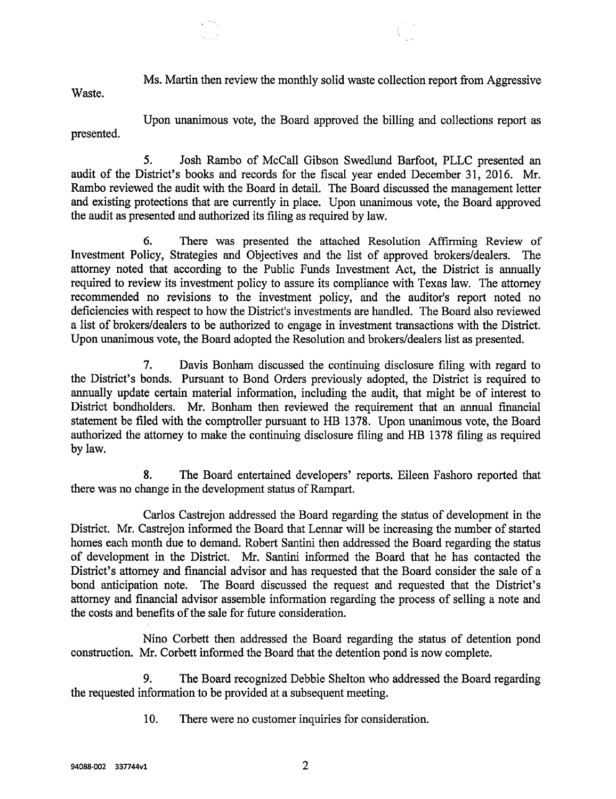Ms. Martin then review the monthly solid waste collection report from Aggressive

Waste.

Upon unanimous vote, the Board approved the billing and collections report as presented.

5. Josh Rambo of McCall Gibson Swedlund Barfoot, PLLC presented an audit of the District's books and records for the fiscal year ended December 31, 2016. Mr. Rambo reviewed the audit with the Board in detail. The Board discussed the management letter and existing protections that are currently in place. Upon unanimous vote, the Board approved the audit as presented and authorized its filing as required by law.

6. There was presented the attached Resolution Affirming Review of Investment Policy, Strategies and Objectives and the list of approved brokers/dealers. The attorney noted that according to the Public Funds Investment Act, the District is annually required to review its investment policy to assure its compliance with Texas law. The attorney recommended no revisions to the investment policy, and the auditor's report noted no deficiencies with respect to how the District's investments are handled. The Board also reviewed a list of brokers/dealers to be authorized to engage in investment transactions with the District. Upon unanimous vote, the Board adopted the Resolution and brokers/dealers list as presented.

7. Davis Bonham discussed the continuing disclosure filing with regard to the District's bonds. Pursuant to Bond Orders previously adopted, the District is required to annually update certain material information, including the audit, that might be of interest to District bondholders. Mr. Bonham then reviewed the requirement that an annual financial statement be filed with the comptroller pursuant to HB 1378. Upon unanimous vote, the Board authorized the attorney to make the continuing disclosure filing and HB 1378 filing as required by law.

8. The Board entertained developers' reports. Eileen Fashoro reported that there was no change in the development status of Rampart.

Carlos Castrejon addressed the Board regarding the status of development in the District. Mr. Castrejon informed the Board that Lennar will be increasing the number of started homes each month due to demand. Robert Santini then addressed the Board regarding the status of development in the District. Mr. Santini informed the Board that he has contacted the District's attorney and financial advisor and has requested that the Board consider the sale of a bond anticipation note. The Board discussed the request and requested that the District's attorney and financial advisor assemble information regarding the process of selling a note and the costs and benefits of the sale for future consideration.

Nino Corbett then addressed the Board regarding the status of detention pond construction. Mr. Corbett informed the Board that the detention pond is now complete.

9. The Board recognized Debbie Shelton who addressed the Board regarding the requested information to be provided at a subsequent meeting.

10. There were no customer inquiries for consideration.